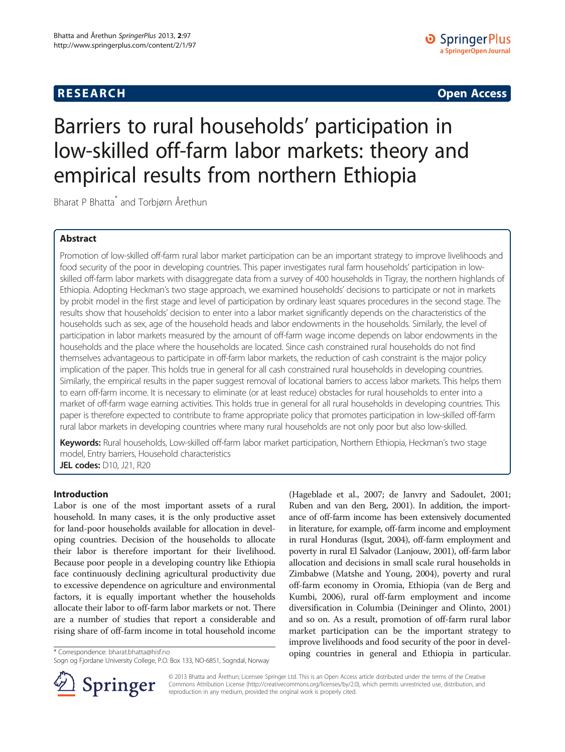# **RESEARCH CHINESEARCH CHINESEARCH CHINESE**

# Barriers to rural households' participation in low-skilled off-farm labor markets: theory and empirical results from northern Ethiopia

Bharat P Bhatta\* and Torbjørn Årethun

# Abstract

Promotion of low-skilled off-farm rural labor market participation can be an important strategy to improve livelihoods and food security of the poor in developing countries. This paper investigates rural farm households' participation in lowskilled off-farm labor markets with disaggregate data from a survey of 400 households in Tigray, the northern highlands of Ethiopia. Adopting Heckman's two stage approach, we examined households' decisions to participate or not in markets by probit model in the first stage and level of participation by ordinary least squares procedures in the second stage. The results show that households' decision to enter into a labor market significantly depends on the characteristics of the households such as sex, age of the household heads and labor endowments in the households. Similarly, the level of participation in labor markets measured by the amount of off-farm wage income depends on labor endowments in the households and the place where the households are located. Since cash constrained rural households do not find themselves advantageous to participate in off-farm labor markets, the reduction of cash constraint is the major policy implication of the paper. This holds true in general for all cash constrained rural households in developing countries. Similarly, the empirical results in the paper suggest removal of locational barriers to access labor markets. This helps them to earn off-farm income. It is necessary to eliminate (or at least reduce) obstacles for rural households to enter into a market of off-farm wage earning activities. This holds true in general for all rural households in developing countries. This paper is therefore expected to contribute to frame appropriate policy that promotes participation in low-skilled off-farm rural labor markets in developing countries where many rural households are not only poor but also low-skilled.

Keywords: Rural households, Low-skilled off-farm labor market participation, Northern Ethiopia, Heckman's two stage model, Entry barriers, Household characteristics

JEL codes: D10, J21, R20

### Introduction

Labor is one of the most important assets of a rural household. In many cases, it is the only productive asset for land-poor households available for allocation in developing countries. Decision of the households to allocate their labor is therefore important for their livelihood. Because poor people in a developing country like Ethiopia face continuously declining agricultural productivity due to excessive dependence on agriculture and environmental factors, it is equally important whether the households allocate their labor to off-farm labor markets or not. There are a number of studies that report a considerable and rising share of off-farm income in total household income

(Hageblade et al., [2007](#page-6-0); de Janvry and Sadoulet, [2001](#page-6-0); Ruben and van den Berg, [2001](#page-6-0)). In addition, the importance of off-farm income has been extensively documented in literature, for example, off-farm income and employment in rural Honduras (Isgut, [2004](#page-6-0)), off-farm employment and poverty in rural El Salvador (Lanjouw, [2001\)](#page-6-0), off-farm labor allocation and decisions in small scale rural households in Zimbabwe (Matshe and Young, [2004\)](#page-6-0), poverty and rural off-farm economy in Oromia, Ethiopia (van de Berg and Kumbi, [2006\)](#page-6-0), rural off-farm employment and income diversification in Columbia (Deininger and Olinto, [2001](#page-6-0)) and so on. As a result, promotion of off-farm rural labor market participation can be the important strategy to improve livelihoods and food security of the poor in developing countries in general and Ethiopia in particular. \* Correspondence: [bharat.bhatta@hisf.no](mailto:bharat.bhatta@hisf.no)



© 2013 Bhatta and Årethun; Licensee Springer Ltd. This is an Open Access article distributed under the terms of the Creative Commons Attribution License (<http://creativecommons.org/licenses/by/2.0>), which permits unrestricted use, distribution, and reproduction in any medium, provided the original work is properly cited.

Sogn og Fjordane University College, P.O. Box 133, NO-6851, Sogndal, Norway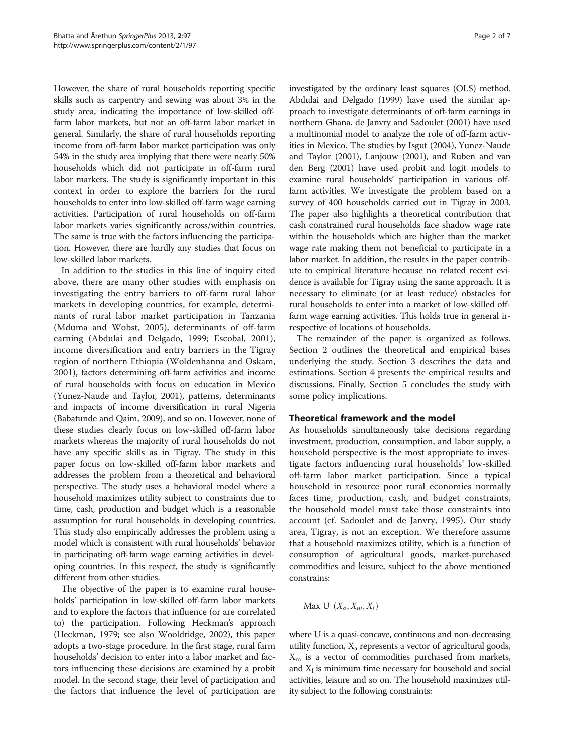However, the share of rural households reporting specific skills such as carpentry and sewing was about 3% in the study area, indicating the importance of low-skilled offfarm labor markets, but not an off-farm labor market in general. Similarly, the share of rural households reporting income from off-farm labor market participation was only 54% in the study area implying that there were nearly 50% households which did not participate in off-farm rural labor markets. The study is significantly important in this context in order to explore the barriers for the rural households to enter into low-skilled off-farm wage earning activities. Participation of rural households on off-farm labor markets varies significantly across/within countries. The same is true with the factors influencing the participation. However, there are hardly any studies that focus on low-skilled labor markets.

In addition to the studies in this line of inquiry cited above, there are many other studies with emphasis on investigating the entry barriers to off-farm rural labor markets in developing countries, for example, determinants of rural labor market participation in Tanzania (Mduma and Wobst, [2005\)](#page-6-0), determinants of off-farm earning (Abdulai and Delgado, [1999;](#page-6-0) Escobal, [2001](#page-6-0)), income diversification and entry barriers in the Tigray region of northern Ethiopia (Woldenhanna and Oskam, [2001\)](#page-6-0), factors determining off-farm activities and income of rural households with focus on education in Mexico (Yunez-Naude and Taylor, [2001\)](#page-6-0), patterns, determinants and impacts of income diversification in rural Nigeria (Babatunde and Qaim, [2009\)](#page-6-0), and so on. However, none of these studies clearly focus on low-skilled off-farm labor markets whereas the majority of rural households do not have any specific skills as in Tigray. The study in this paper focus on low-skilled off-farm labor markets and addresses the problem from a theoretical and behavioral perspective. The study uses a behavioral model where a household maximizes utility subject to constraints due to time, cash, production and budget which is a reasonable assumption for rural households in developing countries. This study also empirically addresses the problem using a model which is consistent with rural households' behavior in participating off-farm wage earning activities in developing countries. In this respect, the study is significantly different from other studies.

The objective of the paper is to examine rural households' participation in low-skilled off-farm labor markets and to explore the factors that influence (or are correlated to) the participation. Following Heckman's approach (Heckman, [1979](#page-6-0); see also Wooldridge, [2002\)](#page-6-0), this paper adopts a two-stage procedure. In the first stage, rural farm households' decision to enter into a labor market and factors influencing these decisions are examined by a probit model. In the second stage, their level of participation and the factors that influence the level of participation are investigated by the ordinary least squares (OLS) method. Abdulai and Delgado [\(1999](#page-6-0)) have used the similar approach to investigate determinants of off-farm earnings in northern Ghana. de Janvry and Sadoulet [\(2001\)](#page-6-0) have used a multinomial model to analyze the role of off-farm activities in Mexico. The studies by Isgut [\(2004\)](#page-6-0), Yunez-Naude and Taylor [\(2001\)](#page-6-0), Lanjouw [\(2001\)](#page-6-0), and Ruben and van den Berg ([2001](#page-6-0)) have used probit and logit models to examine rural households' participation in various offfarm activities. We investigate the problem based on a survey of 400 households carried out in Tigray in 2003. The paper also highlights a theoretical contribution that cash constrained rural households face shadow wage rate within the households which are higher than the market wage rate making them not beneficial to participate in a labor market. In addition, the results in the paper contribute to empirical literature because no related recent evidence is available for Tigray using the same approach. It is necessary to eliminate (or at least reduce) obstacles for rural households to enter into a market of low-skilled offfarm wage earning activities. This holds true in general irrespective of locations of households.

The remainder of the paper is organized as follows. Section 2 outlines the theoretical and empirical bases underlying the study. Section 3 describes the data and estimations. Section 4 presents the empirical results and discussions. Finally, Section 5 concludes the study with some policy implications.

## Theoretical framework and the model

As households simultaneously take decisions regarding investment, production, consumption, and labor supply, a household perspective is the most appropriate to investigate factors influencing rural households' low-skilled off-farm labor market participation. Since a typical household in resource poor rural economies normally faces time, production, cash, and budget constraints, the household model must take those constraints into account (cf. Sadoulet and de Janvry, [1995](#page-6-0)). Our study area, Tigray, is not an exception. We therefore assume that a household maximizes utility, which is a function of consumption of agricultural goods, market-purchased commodities and leisure, subject to the above mentioned constrains:

$$
\text{Max U }(X_a, X_m, X_l)
$$

where U is a quasi-concave, continuous and non-decreasing utility function,  $X_a$  represents a vector of agricultural goods,  $X<sub>m</sub>$  is a vector of commodities purchased from markets, and  $X<sub>l</sub>$  is minimum time necessary for household and social activities, leisure and so on. The household maximizes utility subject to the following constraints: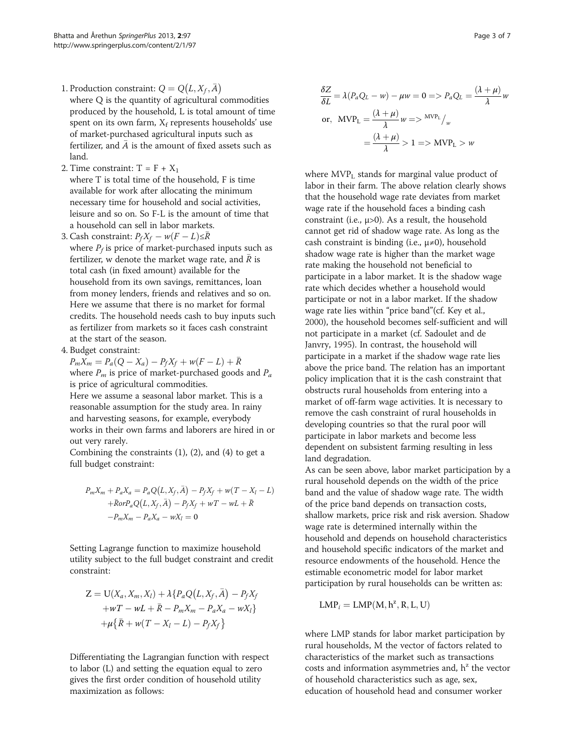- 1. Production constraint:  $Q = Q(L, X_f, \overline{A})$ where Q is the quantity of agricultural commodities produced by the household, L is total amount of time spent on its own farm,  $X_f$  represents households' use of market-purchased agricultural inputs such as fertilizer, and  $\overline{A}$  is the amount of fixed assets such as land.
- 2. Time constraint:  $T = F + X_1$ where T is total time of the household, F is time available for work after allocating the minimum necessary time for household and social activities, leisure and so on. So F-L is the amount of time that a household can sell in labor markets.
- 3. Cash constraint:  $P_f X_f w(F L) \le \bar{R}$ <br>where  $P_f$  is price of market-purchase where  $P_f$  is price of market-purchased inputs such as fertilizer, w denote the market wage rate, and  $\bar{R}$  is total cash (in fixed amount) available for the household from its own savings, remittances, loan from money lenders, friends and relatives and so on. Here we assume that there is no market for formal credits. The household needs cash to buy inputs such as fertilizer from markets so it faces cash constraint at the start of the season.
- 4. Budget constraint:

 $P_m X_m = P_a (Q - X_a) - P_f X_f + w(F - L) + \bar{R}$ <br>where P is price of market-purchased goods where  $P_m$  is price of market-purchased goods and  $P_a$ is price of agricultural commodities.

Here we assume a seasonal labor market. This is a reasonable assumption for the study area. In rainy and harvesting seasons, for example, everybody works in their own farms and laborers are hired in or out very rarely.

Combining the constraints (1), (2), and (4) to get a full budget constraint:

$$
P_m X_m + P_a X_a = P_a Q(L, X_f, \bar{A}) - P_f X_f + w(T - X_l - L)
$$
  
+ $\bar{R} \sigma r P_a Q(L, X_f, \bar{A}) - P_f X_f + wT - wL + \bar{R}$   
- $P_m X_m - P_a X_a - wX_l = 0$ 

Setting Lagrange function to maximize household utility subject to the full budget constraint and credit constraint:

$$
Z = U(X_a, X_m, X_l) + \lambda \{P_a Q(L, X_f, \bar{A}) - P_f X_f
$$
  
+ 
$$
+ wT - wL + \bar{R} - P_m X_m - P_a X_a - wX_l\}
$$
  
+ 
$$
\mu \{\bar{R} + w(T - X_l - L) - P_f X_f\}
$$

Differentiating the Lagrangian function with respect to labor (L) and setting the equation equal to zero gives the first order condition of household utility maximization as follows:

$$
\frac{\delta Z}{\delta L} = \lambda (P_a Q_L - w) - \mu w = 0 \Rightarrow P_a Q_L = \frac{(\lambda + \mu)}{\lambda} w
$$
  
or, MVP<sub>L</sub> =  $\frac{(\lambda + \mu)}{\lambda} w \Rightarrow$  MVP<sub>L</sub>/<sub>w</sub>  
=  $\frac{(\lambda + \mu)}{\lambda} > 1 \Rightarrow$  MVP<sub>L</sub> > w

where  $MVP<sub>L</sub>$  stands for marginal value product of labor in their farm. The above relation clearly shows that the household wage rate deviates from market wage rate if the household faces a binding cash constraint (i.e.,  $\mu$ >0). As a result, the household cannot get rid of shadow wage rate. As long as the cash constraint is binding (i.e.,  $\mu\neq 0$ ), household shadow wage rate is higher than the market wage rate making the household not beneficial to participate in a labor market. It is the shadow wage rate which decides whether a household would participate or not in a labor market. If the shadow wage rate lies within "price band"(cf. Key et al., [2000\)](#page-6-0), the household becomes self-sufficient and will not participate in a market (cf. Sadoulet and de Janvry, [1995](#page-6-0)). In contrast, the household will participate in a market if the shadow wage rate lies above the price band. The relation has an important policy implication that it is the cash constraint that obstructs rural households from entering into a market of off-farm wage activities. It is necessary to remove the cash constraint of rural households in developing countries so that the rural poor will participate in labor markets and become less dependent on subsistent farming resulting in less land degradation.

As can be seen above, labor market participation by a rural household depends on the width of the price band and the value of shadow wage rate. The width of the price band depends on transaction costs, shallow markets, price risk and risk aversion. Shadow wage rate is determined internally within the household and depends on household characteristics and household specific indicators of the market and resource endowments of the household. Hence the estimable econometric model for labor market participation by rural households can be written as:

$$
LMP_i = LMP(M, h^z, R, L, U)
$$

where LMP stands for labor market participation by rural households, M the vector of factors related to characteristics of the market such as transactions costs and information asymmetries and,  $h^2$  the vector of household characteristics such as age, sex, education of household head and consumer worker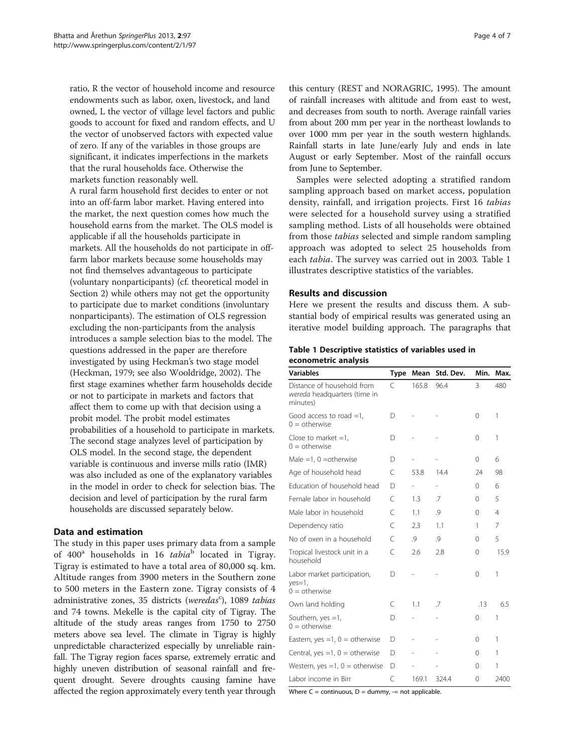ratio, R the vector of household income and resource endowments such as labor, oxen, livestock, and land owned, L the vector of village level factors and public goods to account for fixed and random effects, and U the vector of unobserved factors with expected value of zero. If any of the variables in those groups are significant, it indicates imperfections in the markets that the rural households face. Otherwise the markets function reasonably well.

A rural farm household first decides to enter or not into an off-farm labor market. Having entered into the market, the next question comes how much the household earns from the market. The OLS model is applicable if all the households participate in markets. All the households do not participate in offfarm labor markets because some households may not find themselves advantageous to participate (voluntary nonparticipants) (cf. theoretical model in Section 2) while others may not get the opportunity to participate due to market conditions (involuntary nonparticipants). The estimation of OLS regression excluding the non-participants from the analysis introduces a sample selection bias to the model. The questions addressed in the paper are therefore investigated by using Heckman's two stage model (Heckman, [1979;](#page-6-0) see also Wooldridge, [2002](#page-6-0)). The first stage examines whether farm households decide or not to participate in markets and factors that affect them to come up with that decision using a probit model. The probit model estimates probabilities of a household to participate in markets. The second stage analyzes level of participation by OLS model. In the second stage, the dependent variable is continuous and inverse mills ratio (IMR) was also included as one of the explanatory variables in the model in order to check for selection bias. The decision and level of participation by the rural farm households are discussed separately below.

# Data and estimation

The study in this paper uses primary data from a sample of  $400^a$  households in 16 tabia<sup>b</sup> located in Tigray. Tigray is estimated to have a total area of 80,000 sq. km. Altitude ranges from 3900 meters in the Southern zone to 500 meters in the Eastern zone. Tigray consists of 4 administrative zones, 35 districts (weredas<sup>c</sup>), 1089 tabias and 74 towns. Mekelle is the capital city of Tigray. The altitude of the study areas ranges from 1750 to 2750 meters above sea level. The climate in Tigray is highly unpredictable characterized especially by unreliable rainfall. The Tigray region faces sparse, extremely erratic and highly uneven distribution of seasonal rainfall and frequent drought. Severe droughts causing famine have affected the region approximately every tenth year through this century (REST and NORAGRIC, [1995](#page-6-0)). The amount of rainfall increases with altitude and from east to west, and decreases from south to north. Average rainfall varies from about 200 mm per year in the northeast lowlands to over 1000 mm per year in the south western highlands. Rainfall starts in late June/early July and ends in late August or early September. Most of the rainfall occurs from June to September.

Samples were selected adopting a stratified random sampling approach based on market access, population density, rainfall, and irrigation projects. First 16 tabias were selected for a household survey using a stratified sampling method. Lists of all households were obtained from those tabias selected and simple random sampling approach was adopted to select 25 households from each tabia. The survey was carried out in 2003. Table 1 illustrates descriptive statistics of the variables.

#### Results and discussion

Here we present the results and discuss them. A substantial body of empirical results was generated using an iterative model building approach. The paragraphs that

#### Table 1 Descriptive statistics of variables used in econometric analysis

| <b>Variables</b>                                                       |                |                | Type Mean Std. Dev.      | Min.     | Max.           |
|------------------------------------------------------------------------|----------------|----------------|--------------------------|----------|----------------|
| Distance of household from<br>wereda headquarters (time in<br>minutes) | $\subset$      | 165.8          | 96.4                     | 3        | 480            |
| Good access to road $=1$ ,<br>$0 =$ otherwise                          | D              |                |                          | 0        | 1              |
| Close to market $=1$ ,<br>$0 =$ otherwise                              | D              |                |                          | $\Omega$ | 1              |
| Male $=1$ , 0 = otherwise                                              | D              |                |                          | 0        | 6              |
| Age of household head                                                  | C              | 53.8           | 144                      | 24       | 98             |
| Education of household head                                            | D              | $\overline{a}$ | $\overline{\phantom{0}}$ | 0        | 6              |
| Female labor in household                                              | C              | 1.3            | .7                       | 0        | 5              |
| Male labor in household                                                | C              | 1.1            | $\overline{9}$           | 0        | $\overline{4}$ |
| Dependency ratio                                                       | C              | 2.3            | 1.1                      | 1        | 7              |
| No of oxen in a household                                              | $\subset$      | $\mathsf{Q}$   | $\overline{9}$           | 0        | 5              |
| Tropical livestock unit in a<br>household                              | $\subset$      | 2.6            | 2.8                      | 0        | 15.9           |
| Labor market participation,<br>$yes=1$ ,<br>$0 =$ otherwise            | D              |                |                          | 0        | 1              |
| Own land holding                                                       | C              | 1.1            | .7                       | .13      | 6.5            |
| Southern, yes $=1$ ,<br>$0 =$ otherwise                                | D              |                |                          | 0        | 1              |
| Eastern, yes =1, $0 =$ otherwise                                       | D              |                |                          | 0        | 1              |
| Central, yes =1, $0 =$ otherwise                                       | D              |                |                          | 0        | 1              |
| Western, yes $=1, 0 =$ otherwise                                       | D              |                |                          | 0        | 1              |
| Labor income in Birr                                                   | $\overline{C}$ | 169.1          | 324.4                    | 0        | 2400           |

Where  $C =$  continuous,  $D =$  dummy,  $=$  not applicable.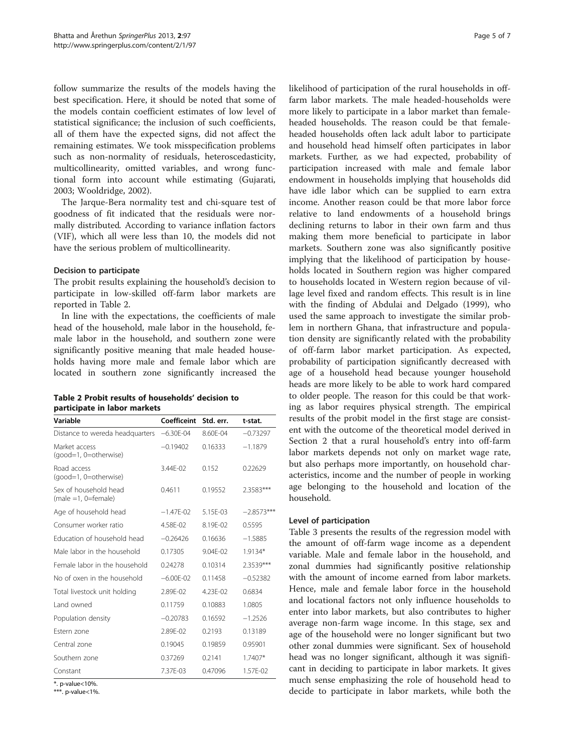follow summarize the results of the models having the best specification. Here, it should be noted that some of the models contain coefficient estimates of low level of statistical significance; the inclusion of such coefficients, all of them have the expected signs, did not affect the remaining estimates. We took misspecification problems such as non-normality of residuals, heteroscedasticity, multicollinearity, omitted variables, and wrong functional form into account while estimating (Gujarati, [2003](#page-6-0); Wooldridge, [2002\)](#page-6-0).

The Jarque-Bera normality test and chi-square test of goodness of fit indicated that the residuals were normally distributed. According to variance inflation factors (VIF), which all were less than 10, the models did not have the serious problem of multicollinearity.

#### Decision to participate

The probit results explaining the household's decision to participate in low-skilled off-farm labor markets are reported in Table 2.

In line with the expectations, the coefficients of male head of the household, male labor in the household, female labor in the household, and southern zone were significantly positive meaning that male headed households having more male and female labor which are located in southern zone significantly increased the

#### Table 2 Probit results of households' decision to participate in labor markets

| Variable                                          | Coefficeint   | Std. err.    | t-stat.      |
|---------------------------------------------------|---------------|--------------|--------------|
| Distance to wereda headquarters                   | $-6.30E - 04$ | 8.60F-04     | $-0.73297$   |
| Market access<br>(good=1, 0=otherwise)            | $-0.19402$    | 0.16333      | $-1.1879$    |
| Road access<br>(good=1, 0=otherwise)              | 3.44F-02      | 0.152        | 0.22629      |
| Sex of household head<br>$(male = 1, 0 = female)$ | 0.4611        | 0.19552      | 2.3583***    |
| Age of household head                             | $-1.47F-02$   | $5.15F - 03$ | $-2.8573***$ |
| Consumer worker ratio                             | 4.58F-02      | 8.19F-02     | 0.5595       |
| Education of household head                       | $-0.26426$    | 0.16636      | $-1.5885$    |
| Male labor in the household                       | 0.17305       | $9.04F - 02$ | 1.9134*      |
| Female labor in the household                     | 0.24278       | 0.10314      | 2.3539***    |
| No of oxen in the household                       | $-6.00F - 02$ | 0.11458      | $-0.52382$   |
| Total livestock unit holding                      | 2.89E-02      | 4.23F-02     | 0.6834       |
| Land owned                                        | 0.11759       | 0.10883      | 1.0805       |
| Population density                                | $-0.20783$    | 0.16592      | $-1.2526$    |
| Estern zone                                       | 2.89E-02      | 0.2193       | 0.13189      |
| Central zone                                      | 0.19045       | 0.19859      | 0.95901      |
| Southern zone                                     | 0.37269       | 0.2141       | 1.7407*      |
| Constant                                          | 7.37F-03      | 0.47096      | 1.57F-02     |

\*. p-value<10%.

\*\*\*. p-value<1%.

likelihood of participation of the rural households in offfarm labor markets. The male headed-households were more likely to participate in a labor market than femaleheaded households. The reason could be that femaleheaded households often lack adult labor to participate and household head himself often participates in labor markets. Further, as we had expected, probability of participation increased with male and female labor endowment in households implying that households did have idle labor which can be supplied to earn extra income. Another reason could be that more labor force relative to land endowments of a household brings declining returns to labor in their own farm and thus making them more beneficial to participate in labor markets. Southern zone was also significantly positive implying that the likelihood of participation by households located in Southern region was higher compared to households located in Western region because of village level fixed and random effects. This result is in line with the finding of Abdulai and Delgado [\(1999\)](#page-6-0), who used the same approach to investigate the similar problem in northern Ghana, that infrastructure and population density are significantly related with the probability of off-farm labor market participation. As expected, probability of participation significantly decreased with age of a household head because younger household heads are more likely to be able to work hard compared to older people. The reason for this could be that working as labor requires physical strength. The empirical results of the probit model in the first stage are consistent with the outcome of the theoretical model derived in Section 2 that a rural household's entry into off-farm labor markets depends not only on market wage rate, but also perhaps more importantly, on household characteristics, income and the number of people in working age belonging to the household and location of the household.

#### Level of participation

Table [3](#page-5-0) presents the results of the regression model with the amount of off-farm wage income as a dependent variable. Male and female labor in the household, and zonal dummies had significantly positive relationship with the amount of income earned from labor markets. Hence, male and female labor force in the household and locational factors not only influence households to enter into labor markets, but also contributes to higher average non-farm wage income. In this stage, sex and age of the household were no longer significant but two other zonal dummies were significant. Sex of household head was no longer significant, although it was significant in deciding to participate in labor markets. It gives much sense emphasizing the role of household head to decide to participate in labor markets, while both the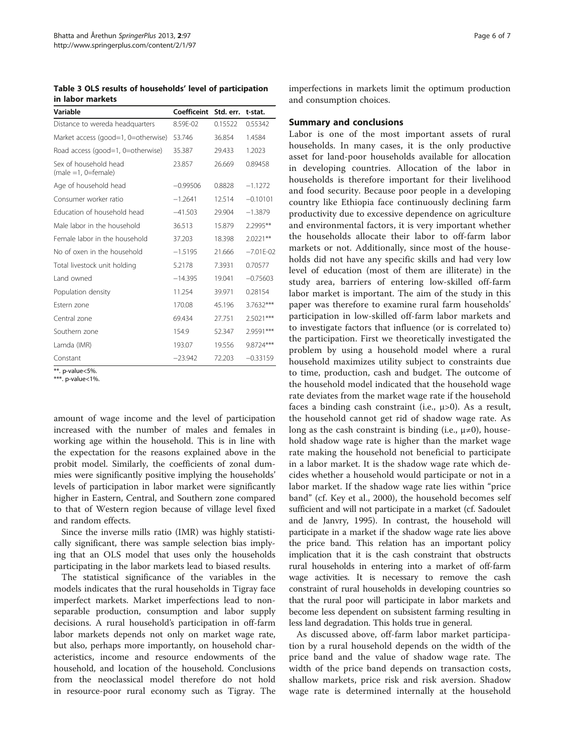<span id="page-5-0"></span>Table 3 OLS results of households' level of participation in labor markets

| Variable                                          | Coefficeint Std. err. |         | t-stat.     |
|---------------------------------------------------|-----------------------|---------|-------------|
| Distance to wereda headquarters                   | 8.59E-02              | 0.15522 | 0.55342     |
| Market access (good=1, 0=otherwise)               | 53.746                | 36.854  | 1.4584      |
| Road access (good=1, 0=otherwise)                 | 35.387                | 29.433  | 1.2023      |
| Sex of household head<br>$(male = 1, 0 = female)$ | 23.857                | 26.669  | 0.89458     |
| Age of household head                             | $-0.99506$            | 0.8828  | $-1.1272$   |
| Consumer worker ratio                             | $-1.2641$             | 12.514  | $-0.10101$  |
| Education of household head                       | $-41.503$             | 29.904  | $-1.3879$   |
| Male labor in the household                       | 36.513                | 15.879  | 2.2995**    |
| Female labor in the household                     | 37.203                | 18.398  | $2.0221**$  |
| No of oxen in the household                       | $-1.5195$             | 21.666  | $-7.01E-02$ |
| Total livestock unit holding                      | 5.2178                | 7.3931  | 0.70577     |
| Land owned                                        | $-14.395$             | 19.041  | $-0.75603$  |
| Population density                                | 11.254                | 39.971  | 0.28154     |
| Estern zone                                       | 170.08                | 45.196  | 3.7632***   |
| Central zone                                      | 69.434                | 27.751  | 2.5021***   |
| Southern zone                                     | 154.9                 | 52.347  | 2.9591***   |
| Lamda (IMR)                                       | 193.07                | 19.556  | 9.8724***   |
| Constant                                          | $-23.942$             | 72.203  | $-0.33159$  |

\*\*. p-value<5%.

\*\*\*. p-value<1%.

amount of wage income and the level of participation increased with the number of males and females in working age within the household. This is in line with the expectation for the reasons explained above in the probit model. Similarly, the coefficients of zonal dummies were significantly positive implying the households' levels of participation in labor market were significantly higher in Eastern, Central, and Southern zone compared to that of Western region because of village level fixed and random effects.

Since the inverse mills ratio (IMR) was highly statistically significant, there was sample selection bias implying that an OLS model that uses only the households participating in the labor markets lead to biased results.

The statistical significance of the variables in the models indicates that the rural households in Tigray face imperfect markets. Market imperfections lead to nonseparable production, consumption and labor supply decisions. A rural household's participation in off-farm labor markets depends not only on market wage rate, but also, perhaps more importantly, on household characteristics, income and resource endowments of the household, and location of the household. Conclusions from the neoclassical model therefore do not hold in resource-poor rural economy such as Tigray. The imperfections in markets limit the optimum production and consumption choices.

#### Summary and conclusions

Labor is one of the most important assets of rural households. In many cases, it is the only productive asset for land-poor households available for allocation in developing countries. Allocation of the labor in households is therefore important for their livelihood and food security. Because poor people in a developing country like Ethiopia face continuously declining farm productivity due to excessive dependence on agriculture and environmental factors, it is very important whether the households allocate their labor to off-farm labor markets or not. Additionally, since most of the households did not have any specific skills and had very low level of education (most of them are illiterate) in the study area, barriers of entering low-skilled off-farm labor market is important. The aim of the study in this paper was therefore to examine rural farm households' participation in low-skilled off-farm labor markets and to investigate factors that influence (or is correlated to) the participation. First we theoretically investigated the problem by using a household model where a rural household maximizes utility subject to constraints due to time, production, cash and budget. The outcome of the household model indicated that the household wage rate deviates from the market wage rate if the household faces a binding cash constraint (i.e., μ>0). As a result, the household cannot get rid of shadow wage rate. As long as the cash constraint is binding (i.e.,  $\mu \neq 0$ ), household shadow wage rate is higher than the market wage rate making the household not beneficial to participate in a labor market. It is the shadow wage rate which decides whether a household would participate or not in a labor market. If the shadow wage rate lies within "price band" (cf. Key et al., [2000\)](#page-6-0), the household becomes self sufficient and will not participate in a market (cf. Sadoulet and de Janvry, [1995\)](#page-6-0). In contrast, the household will participate in a market if the shadow wage rate lies above the price band. This relation has an important policy implication that it is the cash constraint that obstructs rural households in entering into a market of off-farm wage activities. It is necessary to remove the cash constraint of rural households in developing countries so that the rural poor will participate in labor markets and become less dependent on subsistent farming resulting in less land degradation. This holds true in general.

As discussed above, off-farm labor market participation by a rural household depends on the width of the price band and the value of shadow wage rate. The width of the price band depends on transaction costs, shallow markets, price risk and risk aversion. Shadow wage rate is determined internally at the household